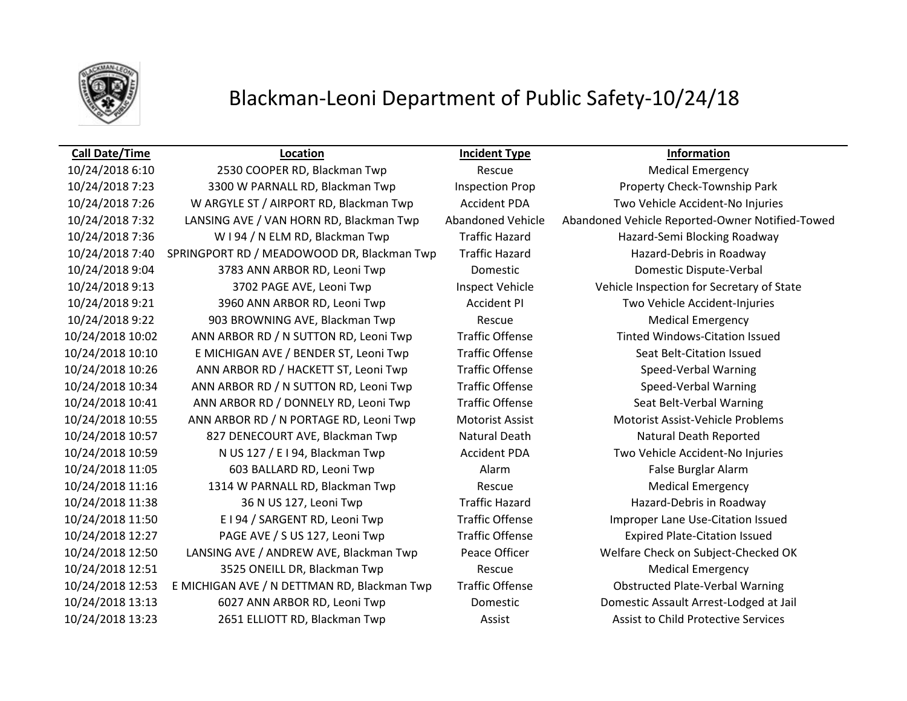

## Blackman-Leoni Department of Public Safety-10/24/18

### **Call Date/Time Location Incident Type Information**

10/24/2018 6:10 2530 COOPER RD, Blackman Twp Rescue Medical Emergency 10/24/2018 7:23 3300 W PARNALL RD, Blackman Twp Inspection Prop Property Check-Township Park 10/24/2018 7:26 W ARGYLE ST / AIRPORT RD, Blackman Twp Accident PDA Two Vehicle Accident-No Injuries 10/24/2018 7:36 W I 94 / N ELM RD, Blackman Twp Traffic Hazard Hazard-Semi Blocking Roadway 10/24/2018 7:40 SPRINGPORT RD / MEADOWOOD DR, Blackman Twp Traffic Hazard Hazard-Debris in Roadway 10/24/2018 9:04 3783 ANN ARBOR RD, Leoni Twp Domestic Domestic Dispute-Verbal 10/24/2018 9:13 3702 PAGE AVE, Leoni Twp Inspect Vehicle Vehicle Inspection for Secretary of State 10/24/2018 9:21 3960 ANN ARBOR RD, Leoni Twp Accident PI Two Vehicle Accident-Injuries 10/24/2018 9:22 903 BROWNING AVE, Blackman Twp Rescue Medical Emergency 10/24/2018 10:02 ANN ARBOR RD / N SUTTON RD, Leoni Twp Traffic Offense Tinted Windows-Citation Issued 10/24/2018 10:10 E MICHIGAN AVE / BENDER ST, Leoni Twp Traffic Offense Seat Belt-Citation Issued 10/24/2018 10:26 ANN ARBOR RD / HACKETT ST, Leoni Twp Traffic Offense Speed-Verbal Warning 10/24/2018 10:34 ANN ARBOR RD / N SUTTON RD, Leoni Twp Traffic Offense Speed-Verbal Warning 10/24/2018 10:41 ANN ARBOR RD / DONNELY RD, Leoni Twp Traffic Offense Seat Belt-Verbal Warning 10/24/2018 10:55 ANN ARBOR RD / N PORTAGE RD, Leoni Twp Motorist Assist Motorist Assist-Vehicle Problems 10/24/2018 10:57 827 DENECOURT AVE, Blackman Twp Natural Death Natural Death Reported 10/24/2018 10:59 N US 127 / E I 94, Blackman Twp Accident PDA Two Vehicle Accident-No Injuries 10/24/2018 11:05 603 BALLARD RD, Leoni Twp Alarm Alarm False Burglar Alarm 10/24/2018 11:16 1314 W PARNALL RD, Blackman Twp Rescue Medical Emergency 10/24/2018 11:38 36 N US 127, Leoni Twp Traffic Hazard Hazard-Debris in Roadway 10/24/2018 11:50 E I 94 / SARGENT RD, Leoni Twp Traffic Offense Improper Lane Use-Citation Issued 10/24/2018 12:27 PAGE AVE / S US 127, Leoni Twp Traffic Offense Expired Plate-Citation Issued 10/24/2018 12:50 LANSING AVE / ANDREW AVE, Blackman Twp Peace Officer Welfare Check on Subject-Checked OK 10/24/2018 12:51 3525 ONEILL DR, Blackman Twp Rescue Medical Emergency 10/24/2018 12:53 E MICHIGAN AVE / N DETTMAN RD, Blackman Twp Traffic Offense Obstructed Plate-Verbal Warning 10/24/2018 13:13 6027 ANN ARBOR RD, Leoni Twp Domestic Domestic Assault Arrest-Lodged at Jail 10/24/2018 13:23 2651 ELLIOTT RD, Blackman Twp Assist Assist Assist to Child Protective Services

10/24/2018 7:32 LANSING AVE / VAN HORN RD, Blackman Twp Abandoned Vehicle Abandoned Vehicle Reported-Owner Notified-Towed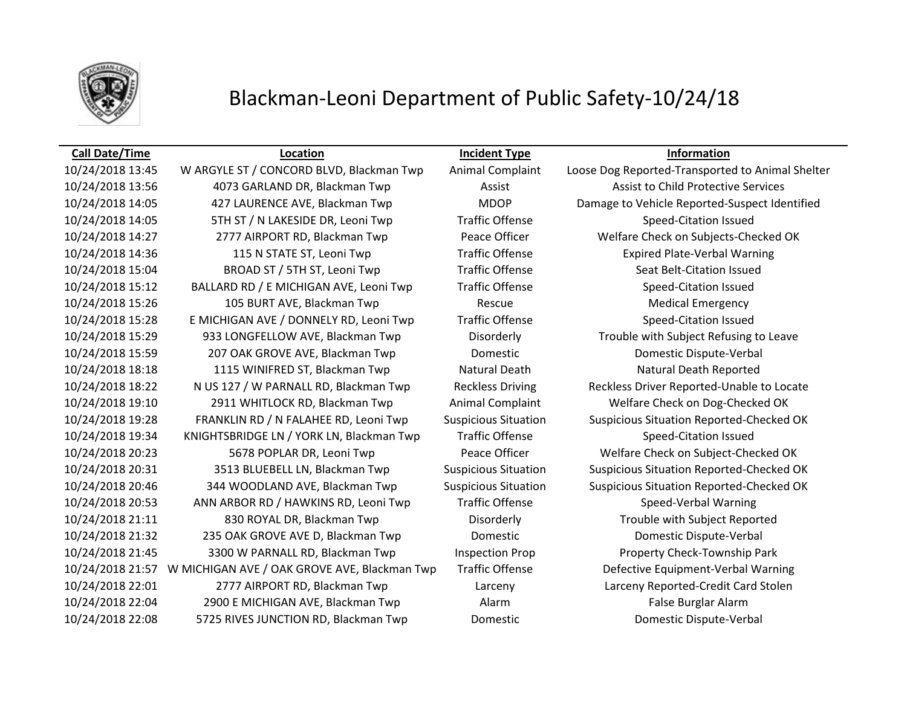

## Blackman-Leoni Department of Public Safety-10/24/18

### **Call Date/Time Location Incident Type Information**

10/24/2018 13:56 4073 GARLAND DR, Blackman Twp **Assist Assist Assist to Child Protective Services** 10/24/2018 14:05 5TH ST / N LAKESIDE DR, Leoni Twp Traffic Offense Speed-Citation Issued 10/24/2018 14:36 115 N STATE ST, Leoni Twp Traffic Offense Expired Plate-Verbal Warning 10/24/2018 15:04 BROAD ST / 5TH ST, Leoni Twp Traffic Offense Seat Belt-Citation Issued 10/24/2018 15:12 BALLARD RD / E MICHIGAN AVE, Leoni Twp Traffic Offense Speed-Citation Issued 10/24/2018 15:26 105 BURT AVE, Blackman Twp Rescue Medical Emergency 10/24/2018 15:28 E MICHIGAN AVE / DONNELY RD, Leoni Twp Traffic Offense Speed-Citation Issued 10/24/2018 15:59 207 OAK GROVE AVE, Blackman Twp Domestic Domestic Dispute-Verbal 10/24/2018 18:18 1115 WINIFRED ST, Blackman Twp Natural Death Natural Death Reported 10/24/2018 19:10 2911 WHITLOCK RD, Blackman Twp Animal Complaint Welfare Check on Dog-Checked OK 10/24/2018 19:34 KNIGHTSBRIDGE LN / YORK LN, Blackman Twp Traffic Offense Speed-Citation Issued 10/24/2018 20:53 ANN ARBOR RD / HAWKINS RD, Leoni Twp Traffic Offense Speed-Verbal Warning 10/24/2018 21:11 830 ROYAL DR, Blackman Twp Disorderly Trouble with Subject Reported 10/24/2018 21:32 235 OAK GROVE AVE D, Blackman Twp Domestic Domestic Dispute-Verbal 10/24/2018 21:45 3300 W PARNALL RD, Blackman Twp Inspection Prop Property Check-Township Park 10/24/2018 21:57 W MICHIGAN AVE / OAK GROVE AVE, Blackman Twp Traffic Offense Defective Equipment-Verbal Warning 10/24/2018 22:01 2777 AIRPORT RD, Blackman Twp Larceny Larceny Reported-Credit Card Stolen 10/24/2018 22:04 2900 E MICHIGAN AVE, Blackman Twp Alarm False Burglar Alarm 10/24/2018 22:08 5725 RIVES JUNCTION RD, Blackman Twp Domestic Domestic Dispute-Verbal

10/24/2018 13:45 W ARGYLE ST / CONCORD BLVD, Blackman Twp Animal Complaint Loose Dog Reported-Transported to Animal Shelter 10/24/2018 14:05 427 LAURENCE AVE, Blackman Twp MDOP Damage to Vehicle Reported-Suspect Identified 10/24/2018 14:27 2777 AIRPORT RD, Blackman Twp Peace Officer Welfare Check on Subjects-Checked OK 10/24/2018 15:29 933 LONGFELLOW AVE, Blackman Twp Disorderly Trouble with Subject Refusing to Leave 10/24/2018 18:22 N US 127 / W PARNALL RD, Blackman Twp Reckless Driving Reckless Driver Reported-Unable to Locate 10/24/2018 19:28 FRANKLIN RD / N FALAHEE RD, Leoni Twp Suspicious Situation Suspicious Situation Reported-Checked OK 10/24/2018 20:23 5678 POPLAR DR, Leoni Twp Peace Officer Welfare Check on Subject-Checked OK 10/24/2018 20:31 3513 BLUEBELL LN, Blackman Twp Suspicious Situation Suspicious Situation Reported-Checked OK 10/24/2018 20:46 344 WOODLAND AVE, Blackman Twp Suspicious Situation Suspicious Situation Reported-Checked OK